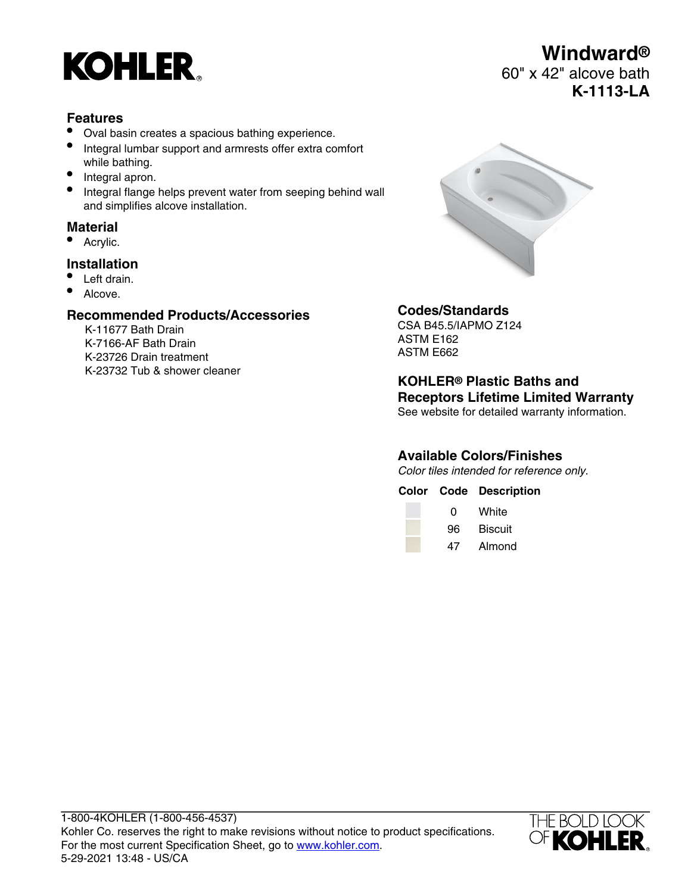

## **Features**

- Oval basin creates a spacious bathing experience.
- Integral lumbar support and armrests offer extra comfort while bathing.
- Integral apron.
- Integral flange helps prevent water from seeping behind wall and simplifies alcove installation.

## **Material**

Acrylic.

#### **Installation**

- Left drain.
- Alcove.

#### **Recommended Products/Accessories**

K-11677 Bath Drain K-7166-AF Bath Drain K-23726 Drain treatment K-23732 Tub & shower cleaner



## **Codes/Standards**

CSA B45.5/IAPMO Z124 ASTM E162 ASTM E662

**KOHLER® Plastic Baths and Receptors Lifetime Limited Warranty** See website for detailed warranty information.

## **Available Colors/Finishes**

Color tiles intended for reference only.

|    | <b>Color Code Description</b> |
|----|-------------------------------|
| 0  | White                         |
| 96 | <b>Biscuit</b>                |
| 47 | Almond                        |



## **Windward®** 60" x 42" alcove bath **K-1113-LA**